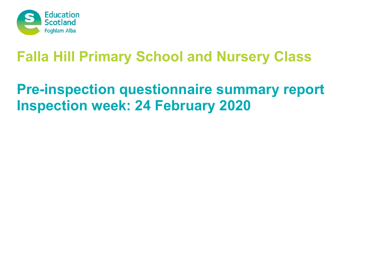

# **Pre-inspection questionnaire summary report Inspection week: 24 February 2020**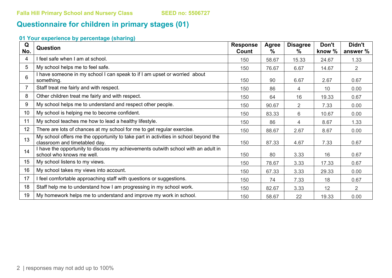## **Questionnaire for children in primary stages (01)**

### **01 Your experience by percentage (sharing)**

| Q<br>No. | Question                                                                                                             | <b>Response</b><br>Count | <b>Agree</b><br>$\frac{9}{6}$ | <b>Disagree</b><br>$\%$ | Don't<br>know % | Didn't<br>answer % |
|----------|----------------------------------------------------------------------------------------------------------------------|--------------------------|-------------------------------|-------------------------|-----------------|--------------------|
| 4        | I feel safe when I am at school.                                                                                     | 150                      | 58.67                         | 15.33                   | 24.67           | 1.33               |
| 5        | My school helps me to feel safe.                                                                                     | 150                      | 76.67                         | 6.67                    | 14.67           | $\overline{2}$     |
| 6        | I have someone in my school I can speak to if I am upset or worried about<br>something.                              | 150                      | 90                            | 6.67                    | 2.67            | 0.67               |
|          | Staff treat me fairly and with respect.                                                                              | 150                      | 86                            | 4                       | 10              | 0.00               |
| 8        | Other children treat me fairly and with respect.                                                                     | 150                      | 64                            | 16                      | 19.33           | 0.67               |
| 9        | My school helps me to understand and respect other people.                                                           | 150                      | 90.67                         | $\overline{2}$          | 7.33            | 0.00               |
| 10       | My school is helping me to become confident.                                                                         | 150                      | 83.33                         | 6                       | 10.67           | 0.00               |
| 11       | My school teaches me how to lead a healthy lifestyle.                                                                | 150                      | 86                            | 4                       | 8.67            | 1.33               |
| 12       | There are lots of chances at my school for me to get regular exercise.                                               | 150                      | 88.67                         | 2.67                    | 8.67            | 0.00               |
| 13       | My school offers me the opportunity to take part in activities in school beyond the<br>classroom and timetabled day. | 150                      | 87.33                         | 4.67                    | 7.33            | 0.67               |
| 14       | I have the opportunity to discuss my achievements outwith school with an adult in<br>school who knows me well.       | 150                      | 80                            | 3.33                    | 16              | 0.67               |
| 15       | My school listens to my views.                                                                                       | 150                      | 78.67                         | 3.33                    | 17.33           | 0.67               |
| 16       | My school takes my views into account.                                                                               | 150                      | 67.33                         | 3.33                    | 29.33           | 0.00               |
| 17       | I feel comfortable approaching staff with questions or suggestions.                                                  | 150                      | 74                            | 7.33                    | 18              | 0.67               |
| 18       | Staff help me to understand how I am progressing in my school work.                                                  | 150                      | 82.67                         | 3.33                    | 12              | $\overline{2}$     |
| 19       | My homework helps me to understand and improve my work in school.                                                    | 150                      | 58.67                         | 22                      | 19.33           | 0.00               |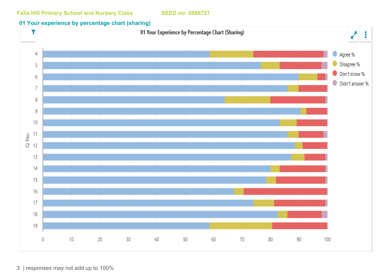#### **01 Your experience by percentage chart (sharing)**

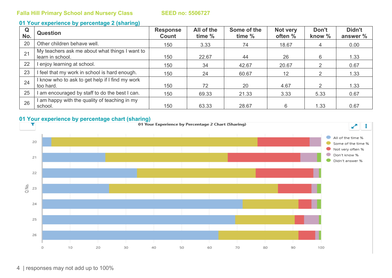#### **01 Your experience by percentage 2 (sharing)**

| Q<br>No. | <b>Question</b>                                                    | <b>Response</b><br>Count | All of the<br>time % | Some of the<br>time % | Not very<br>often % | Don't<br>know % | Didn't<br>answer % |
|----------|--------------------------------------------------------------------|--------------------------|----------------------|-----------------------|---------------------|-----------------|--------------------|
| 20       | Other children behave well.                                        | 150                      | 3.33                 | 74                    | 18.67               | 4               | 0.00               |
| 21       | My teachers ask me about what things I want to<br>learn in school. | 150                      | 22.67                | 44                    | 26                  | 6               | 1.33               |
| 22       | enjoy learning at school.                                          | 150                      | 34                   | 42.67                 | 20.67               | ⌒               | 0.67               |
| 23       | I feel that my work in school is hard enough.                      | 150                      | 24                   | 60.67                 | 12                  | 2               | 1.33               |
| 24       | I know who to ask to get help if I find my work<br>too hard.       | 150                      | 72                   | 20                    | 4.67                | ◠               | 1.33               |
| 25       | am encouraged by staff to do the best I can.                       | 150                      | 69.33                | 21.33                 | 3.33                | 5.33            | 0.67               |
| 26       | am happy with the quality of teaching in my<br>school.             | 150                      | 63.33                | 28.67                 | 6                   | 1.33            | 0.67               |

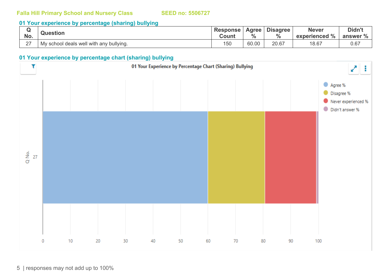#### **01 Your experience by percentage (sharing) bullying**

|        | <b>Question</b>                         | <b>Response</b> | <b>Agree</b>  | <b>Disagree</b> | <b>Never</b>                 | Didn't   |
|--------|-----------------------------------------|-----------------|---------------|-----------------|------------------------------|----------|
| No.    |                                         | <b>Count</b>    | $\frac{0}{0}$ | $\mathbf{0}$    | $\frac{9}{6}$<br>experienced | answer % |
| $\sim$ | My school deals well with any bullying. | 150             | 60.00         | 20.67           | 18.67                        | 0.67     |

#### **01 Your experience by percentage chart (sharing) bullying**

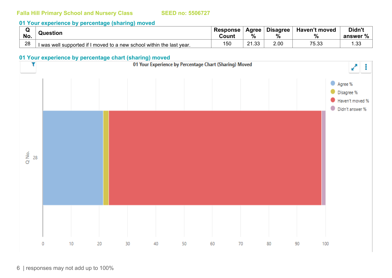#### **01 Your experience by percentage (sharing) moved**

|     |                                                                       | <b>Response</b> | Agree                  | <b>Disagree</b> | <b>Haven't moved</b> | Didn't   |
|-----|-----------------------------------------------------------------------|-----------------|------------------------|-----------------|----------------------|----------|
| No. | Question                                                              | Count           | %                      | $\Omega$        | 70                   | answer % |
| 28  | I was well supported if I moved to a new school within the last year. | 150             | っっ<br>$\sim$<br>ں ب. ا | 2.00            | 75.33                | .33      |

#### **01 Your experience by percentage chart (sharing) moved**

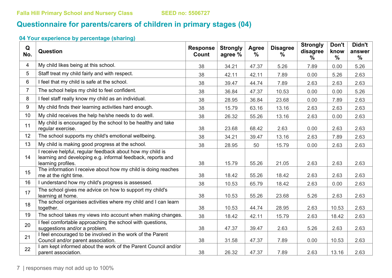## **Questionnaire for parents/carers of children in primary stages (04)**

### **04 Your experience by percentage (sharing)**

| Q<br>No.       | Question                                                                                                                                       | <b>Response</b><br><b>Count</b> | <b>Strongly</b><br>agree % | Agree<br>$\%$ | <b>Disagree</b><br>$\%$ | <b>Strongly</b><br>disagree<br>$\%$ | Don't<br>know<br>$\%$ | Didn't<br>answer<br>$\frac{0}{0}$ |
|----------------|------------------------------------------------------------------------------------------------------------------------------------------------|---------------------------------|----------------------------|---------------|-------------------------|-------------------------------------|-----------------------|-----------------------------------|
| 4              | My child likes being at this school.                                                                                                           | 38                              | 34.21                      | 47.37         | 5.26                    | 7.89                                | 0.00                  | 5.26                              |
| 5              | Staff treat my child fairly and with respect.                                                                                                  | 38                              | 42.11                      | 42.11         | 7.89                    | 0.00                                | 5.26                  | 2.63                              |
| 6              | I feel that my child is safe at the school.                                                                                                    | 38                              | 39.47                      | 44.74         | 7.89                    | 2.63                                | 2.63                  | 2.63                              |
| $\overline{7}$ | The school helps my child to feel confident.                                                                                                   | 38                              | 36.84                      | 47.37         | 10.53                   | 0.00                                | 0.00                  | 5.26                              |
| 8              | I feel staff really know my child as an individual.                                                                                            | 38                              | 28.95                      | 36.84         | 23.68                   | 0.00                                | 7.89                  | 2.63                              |
| 9              | My child finds their learning activities hard enough.                                                                                          | 38                              | 15.79                      | 63.16         | 13.16                   | 2.63                                | 2.63                  | 2.63                              |
| 10             | My child receives the help he/she needs to do well.                                                                                            | 38                              | 26.32                      | 55.26         | 13.16                   | 2.63                                | 0.00                  | 2.63                              |
| 11             | My child is encouraged by the school to be healthy and take<br>regular exercise.                                                               | 38                              | 23.68                      | 68.42         | 2.63                    | 0.00                                | 2.63                  | 2.63                              |
| 12             | The school supports my child's emotional wellbeing.                                                                                            | 38                              | 34.21                      | 39.47         | 13.16                   | 2.63                                | 7.89                  | 2.63                              |
| 13             | My child is making good progress at the school.                                                                                                | 38                              | 28.95                      | 50            | 15.79                   | 0.00                                | 2.63                  | 2.63                              |
| 14             | I receive helpful, regular feedback about how my child is<br>learning and developing e.g. informal feedback, reports and<br>learning profiles. | 38                              | 15.79                      | 55.26         | 21.05                   | 2.63                                | 2.63                  | 2.63                              |
| 15             | The information I receive about how my child is doing reaches<br>me at the right time.                                                         | 38                              | 18.42                      | 55.26         | 18.42                   | 2.63                                | 2.63                  | 2.63                              |
| 16             | I understand how my child's progress is assessed.                                                                                              | 38                              | 10.53                      | 65.79         | 18.42                   | 2.63                                | 0.00                  | 2.63                              |
| 17             | The school gives me advice on how to support my child's<br>learning at home.                                                                   | 38                              | 10.53                      | 55.26         | 23.68                   | 5.26                                | 2.63                  | 2.63                              |
| 18             | The school organises activities where my child and I can learn<br>together.                                                                    | 38                              | 10.53                      | 44.74         | 28.95                   | 2.63                                | 10.53                 | 2.63                              |
| 19             | The school takes my views into account when making changes.                                                                                    | 38                              | 18.42                      | 42.11         | 15.79                   | 2.63                                | 18.42                 | 2.63                              |
| 20             | I feel comfortable approaching the school with questions,<br>suggestions and/or a problem.                                                     | 38                              | 47.37                      | 39.47         | 2.63                    | 5.26                                | 2.63                  | 2.63                              |
| 21             | I feel encouraged to be involved in the work of the Parent<br>Council and/or parent association.                                               | 38                              | 31.58                      | 47.37         | 7.89                    | 0.00                                | 10.53                 | 2.63                              |
| 22             | I am kept informed about the work of the Parent Council and/or<br>parent association.                                                          | 38                              | 26.32                      | 47.37         | 7.89                    | 2.63                                | 13.16                 | 2.63                              |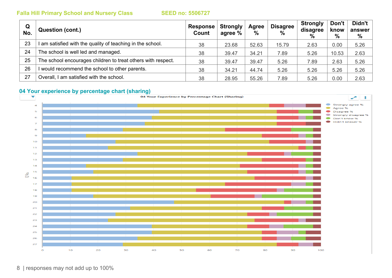| Q<br>No. | <b>Question (cont.)</b>                                      | <b>Response</b><br><b>Count</b> | <b>Strongly</b><br>agree % | Agree<br>$\%$ | <b>Disagree</b><br>$\%$ | <b>Strongly</b><br>disagree<br>$\frac{0}{0}$ | Don't<br>know<br>$\%$ | Didn't  <br>answer<br>% |
|----------|--------------------------------------------------------------|---------------------------------|----------------------------|---------------|-------------------------|----------------------------------------------|-----------------------|-------------------------|
| 23       | am satisfied with the quality of teaching in the school.     | 38                              | 23.68                      | 52.63         | 15.79                   | 2.63                                         | 0.00                  | 5.26                    |
| 24       | The school is well led and managed.                          | 38                              | 39.47                      | 34.21         | 7.89                    | 5.26                                         | 10.53                 | 2.63                    |
| 25       | The school encourages children to treat others with respect. | 38                              | 39.47                      | 39.47         | 5.26                    | 7.89                                         | 2.63                  | 5.26                    |
| 26       | would recommend the school to other parents.                 | 38                              | 34.21                      | 44.74         | 5.26                    | 5.26                                         | 5.26                  | 5.26                    |
| 27       | Overall, I am satisfied with the school.                     | 38                              | 28.95                      | 55.26         | 7.89                    | 5.26                                         | 0.00                  | 2.63                    |

#### **04 Your experience by percentage chart (sharing)**

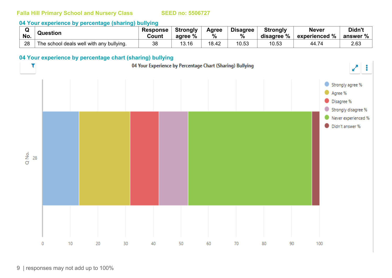#### **04 Your experience by percentage (sharing) bullying**

|     | Question                                 | <b>Response</b> | <b>Strongly</b> | Agree | <b>Disagree</b> | <b>Strongly</b> | <b>Never</b>     | Didn't   |
|-----|------------------------------------------|-----------------|-----------------|-------|-----------------|-----------------|------------------|----------|
| No. |                                          | Count           | %<br>agree      | $\%$  | %               | disagree %      | experienced $\%$ | answer % |
| 28  | The school deals well with any bullying. | 38              | 13.16           | 18.42 | 10.53           | 10.53           | 44.74            | 2.63     |

### **04 Your experience by percentage chart (sharing) bullying**

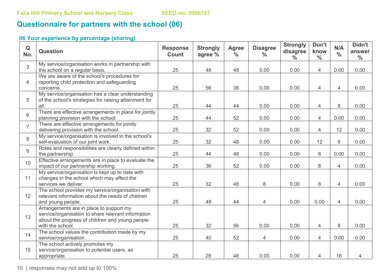## **Questionnaire for partners with the school (06)**

### **06 Your experience by percentage (sharing)**

| Q<br>No.       | <b>Question</b>                                                                                                                                                      | <b>Response</b><br><b>Count</b> | <b>Strongly</b><br>agree % | <b>Agree</b><br>$\frac{0}{0}$ | <b>Disagree</b><br>$\frac{0}{0}$ | <b>Strongly</b><br>disagree<br>$\frac{0}{0}$ | Don't<br>know<br>$\frac{0}{0}$ | N/A<br>$\frac{0}{0}$ | Didn't<br>answer<br>$\frac{0}{0}$ |
|----------------|----------------------------------------------------------------------------------------------------------------------------------------------------------------------|---------------------------------|----------------------------|-------------------------------|----------------------------------|----------------------------------------------|--------------------------------|----------------------|-----------------------------------|
| 3              | My service/organisation works in partnership with<br>the school on a regular basis.                                                                                  | 25                              | 48                         | 48                            | 0.00                             | 0.00                                         | $\overline{4}$                 | 0.00                 | 0.00                              |
| 4              | We are aware of the school's procedures for<br>reporting child protection and safeguarding<br>concerns.                                                              | 25                              | 56                         | 36                            | 0.00                             | 0.00                                         | $\overline{4}$                 | 4                    | 0.00                              |
| 5              | My service/organisation has a clear understanding<br>of the school's strategies for raising attainment for<br>all.                                                   | 25                              | 44                         | 44                            | 0.00                             | 0.00                                         | $\overline{4}$                 | 8                    | 0.00                              |
| 6              | There are effective arrangements in place for jointly<br>planning provision with the school.                                                                         | 25                              | 44                         | 52                            | 0.00                             | 0.00                                         | $\overline{4}$                 | 0.00                 | 0.00                              |
| $\overline{7}$ | There are effective arrangements for jointly<br>delivering provision with the school.                                                                                | 25                              | 32                         | 52                            | 0.00                             | 0.00                                         | 4                              | 12                   | 0.00                              |
| 8              | My service/organisation is involved in the school's<br>self-evaluation of our joint work.                                                                            | 25                              | 32                         | 48                            | 0.00                             | 0.00                                         | 12                             | 8                    | 0.00                              |
| 9              | Roles and responsibilities are clearly defined within<br>the partnership.                                                                                            | 25                              | 44                         | 48                            | 0.00                             | 0.00                                         | 8                              | 0.00                 | 0.00                              |
| 10             | Effective arrangements are in place to evaluate the<br>impact of our partnership working.                                                                            | 25                              | 36                         | 52                            | 0.00                             | 0.00                                         | 8                              | 4                    | 0.00                              |
| 11             | My service/organisation is kept up to date with<br>changes in the school which may affect the<br>services we deliver.                                                | 25                              | 32                         | 48                            | 8                                | 0.00                                         | 8                              | $\overline{4}$       | 0.00                              |
| 12             | The school provides my service/organisation with<br>relevant information about the needs of children<br>and young people.                                            | 25                              | 48                         | 44                            | 4                                | 0.00                                         | 0.00                           | 4                    | 0.00                              |
| 13             | Arrangements are in place to support my<br>service/organisation to share relevant information<br>about the progress of children and young people<br>with the school. | 25                              | 32                         | 56                            | 0.00                             | 0.00                                         | $\overline{4}$                 | 8                    | 0.00                              |
| 14             | The school values the contribution made by my<br>service/organisation.                                                                                               | 25                              | 40                         | 52                            | 4                                | 0.00                                         | $\overline{4}$                 | 0.00                 | 0.00                              |
| 15             | The school actively promotes my<br>service/organisation to potential users, as<br>appropriate.                                                                       | 25                              | 28                         | 48                            | 0.00                             | 0.00                                         | $\overline{4}$                 | 16                   | 4                                 |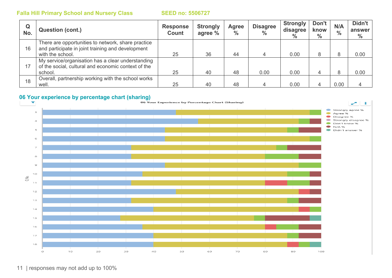| Q<br>No. | <b>Question (cont.)</b>                                                                                                     | <b>Response</b><br><b>Count</b> | <b>Strongly</b><br>agree % | Agree<br>$\frac{0}{0}$ | <b>Disagree</b><br>$\frac{0}{0}$ | <b>Strongly</b><br>disagree<br>$\frac{0}{0}$ | Don't<br>know<br>$\%$ | N/A<br>$\frac{0}{0}$ | Didn't<br>answer<br>$\frac{0}{0}$ |
|----------|-----------------------------------------------------------------------------------------------------------------------------|---------------------------------|----------------------------|------------------------|----------------------------------|----------------------------------------------|-----------------------|----------------------|-----------------------------------|
| 16       | There are opportunities to network, share practice<br>and participate in joint training and development<br>with the school. | 25                              | 36                         | 44                     |                                  | 0.00                                         | 8                     | 8                    | 0.00                              |
| 17       | My service/organisation has a clear understanding<br>of the social, cultural and economic context of the<br>school.         | 25                              | 40                         | 48                     | 0.00                             | 0.00                                         | 4                     | 8                    | 0.00                              |
| 18       | Overall, partnership working with the school works<br>well.                                                                 | 25                              | 40                         | 48                     |                                  | 0.00                                         |                       | 0.00                 |                                   |

## **06 Your experience by percentage chart (sharing)**<br> **1998 Your Experience by Percentage Chart (Sharing)**

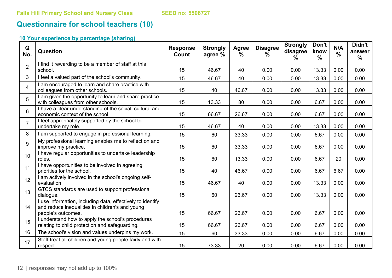## **Questionnaire for school teachers (10)**

### **10 Your experience by percentage (sharing)**

| Q<br>No.        | Question                                                                                                                            | <b>Response</b><br>Count | <b>Strongly</b><br>agree % | Agree<br>$\frac{0}{0}$ | <b>Disagree</b><br>$\%$ | <b>Strongly</b><br>disagree<br>$\frac{0}{0}$ | Don't<br>know<br>$\frac{0}{0}$ | N/A<br>$\frac{0}{0}$ | Didn't<br>answer<br>$\frac{0}{0}$ |
|-----------------|-------------------------------------------------------------------------------------------------------------------------------------|--------------------------|----------------------------|------------------------|-------------------------|----------------------------------------------|--------------------------------|----------------------|-----------------------------------|
| $\overline{2}$  | I find it rewarding to be a member of staff at this<br>school.                                                                      | 15                       | 46.67                      | 40                     | 0.00                    | 0.00                                         | 13.33                          | 0.00                 | 0.00                              |
| 3               | I feel a valued part of the school's community.                                                                                     | 15                       | 46.67                      | 40                     | 0.00                    | 0.00                                         | 13.33                          | 0.00                 | 0.00                              |
| $\overline{4}$  | I am encouraged to learn and share practice with<br>colleagues from other schools.                                                  | 15                       | 40                         | 46.67                  | 0.00                    | 0.00                                         | 13.33                          | 0.00                 | 0.00                              |
| 5               | I am given the opportunity to learn and share practice<br>with colleagues from other schools.                                       | 15                       | 13.33                      | 80                     | 0.00                    | 0.00                                         | 6.67                           | 0.00                 | 0.00                              |
| $6\phantom{a}$  | I have a clear understanding of the social, cultural and<br>economic context of the school.                                         | 15                       | 66.67                      | 26.67                  | 0.00                    | 0.00                                         | 6.67                           | 0.00                 | 0.00                              |
| $\overline{7}$  | I feel appropriately supported by the school to<br>undertake my role.                                                               | 15                       | 46.67                      | 40                     | 0.00                    | 0.00                                         | 13.33                          | 0.00                 | 0.00                              |
| 8               | I am supported to engage in professional learning.                                                                                  | 15                       | 60                         | 33.33                  | 0.00                    | 0.00                                         | 6.67                           | 0.00                 | 0.00                              |
| 9               | My professional learning enables me to reflect on and<br>improve my practice.                                                       | 15                       | 60                         | 33.33                  | 0.00                    | 0.00                                         | 6.67                           | 0.00                 | 0.00                              |
| 10 <sup>1</sup> | I have regular opportunities to undertake leadership<br>roles.                                                                      | 15                       | 60                         | 13.33                  | 0.00                    | 0.00                                         | 6.67                           | 20                   | 0.00                              |
| 11              | I have opportunities to be involved in agreeing<br>priorities for the school.                                                       | 15                       | 40                         | 46.67                  | 0.00                    | 0.00                                         | 6.67                           | 6.67                 | 0.00                              |
| 12              | I am actively involved in the school's ongoing self-<br>evaluation.                                                                 | 15                       | 46.67                      | 40                     | 0.00                    | 0.00                                         | 13.33                          | 0.00                 | 0.00                              |
| 13              | GTCS standards are used to support professional<br>dialogue.                                                                        | 15                       | 60                         | 26.67                  | 0.00                    | 0.00                                         | 13.33                          | 0.00                 | 0.00                              |
| 14              | I use information, including data, effectively to identify<br>and reduce inequalities in children's and young<br>people's outcomes. | 15                       | 66.67                      | 26.67                  | 0.00                    | 0.00                                         | 6.67                           | 0.00                 | 0.00                              |
| 15              | I understand how to apply the school's procedures<br>relating to child protection and safeguarding.                                 | 15                       | 66.67                      | 26.67                  | 0.00                    | 0.00                                         | 6.67                           | 0.00                 | 0.00                              |
| 16              | The school's vision and values underpins my work.                                                                                   | 15                       | 60                         | 33.33                  | 0.00                    | 0.00                                         | 6.67                           | 0.00                 | 0.00                              |
| 17              | Staff treat all children and young people fairly and with<br>respect.                                                               | 15                       | 73.33                      | 20                     | 0.00                    | 0.00                                         | 6.67                           | 0.00                 | 0.00                              |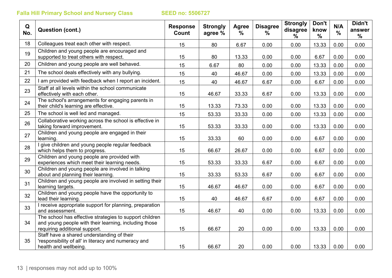| Q<br>No. | Question (cont.)                                                                                                                                  | <b>Response</b><br>Count | <b>Strongly</b><br>agree % | Agree<br>$\%$ | <b>Disagree</b><br>$\%$ | <b>Strongly</b><br>disagree<br>% | Don't<br>know<br>$\frac{0}{0}$ | N/A<br>$\frac{0}{0}$ | Didn't<br>answer<br>$\%$ |
|----------|---------------------------------------------------------------------------------------------------------------------------------------------------|--------------------------|----------------------------|---------------|-------------------------|----------------------------------|--------------------------------|----------------------|--------------------------|
| 18       | Colleagues treat each other with respect.                                                                                                         | 15                       | 80                         | 6.67          | 0.00                    | 0.00                             | 13.33                          | 0.00                 | 0.00                     |
| 19       | Children and young people are encouraged and<br>supported to treat others with respect.                                                           | 15                       | 80                         | 13.33         | 0.00                    | 0.00                             | 6.67                           | 0.00                 | 0.00                     |
| 20       | Children and young people are well behaved.                                                                                                       | 15                       | 6.67                       | 80            | 0.00                    | 0.00                             | 13.33                          | 0.00                 | 0.00                     |
| 21       | The school deals effectively with any bullying.                                                                                                   | 15                       | 40                         | 46.67         | 0.00                    | 0.00                             | 13.33                          | 0.00                 | 0.00                     |
| 22       | I am provided with feedback when I report an incident.                                                                                            | 15                       | 40                         | 46.67         | 6.67                    | 0.00                             | 6.67                           | 0.00                 | 0.00                     |
| 23       | Staff at all levels within the school communicate<br>effectively with each other.                                                                 | 15                       | 46.67                      | 33.33         | 6.67                    | 0.00                             | 13.33                          | 0.00                 | 0.00                     |
| 24       | The school's arrangements for engaging parents in<br>their child's learning are effective.                                                        | 15                       | 13.33                      | 73.33         | 0.00                    | 0.00                             | 13.33                          | 0.00                 | 0.00                     |
| 25       | The school is well led and managed.                                                                                                               | 15                       | 53.33                      | 33.33         | 0.00                    | 0.00                             | 13.33                          | 0.00                 | 0.00                     |
| 26       | Collaborative working across the school is effective in<br>taking forward improvement.                                                            | 15                       | 53.33                      | 33.33         | 0.00                    | 0.00                             | 13.33                          | 0.00                 | 0.00                     |
| 27       | Children and young people are engaged in their<br>learning.                                                                                       | 15                       | 33.33                      | 60            | 0.00                    | 0.00                             | 6.67                           | 0.00                 | 0.00                     |
| 28       | I give children and young people regular feedback<br>which helps them to progress.                                                                | 15                       | 66.67                      | 26.67         | 0.00                    | 0.00                             | 6.67                           | 0.00                 | 0.00                     |
| 29       | Children and young people are provided with<br>experiences which meet their learning needs.                                                       | 15                       | 53.33                      | 33.33         | 6.67                    | 0.00                             | 6.67                           | 0.00                 | 0.00                     |
| 30       | Children and young people are involved in talking<br>about and planning their learning.                                                           | 15                       | 33.33                      | 53.33         | 6.67                    | 0.00                             | 6.67                           | 0.00                 | 0.00                     |
| 31       | Children and young people are involved in setting their<br>learning targets.                                                                      | 15                       | 46.67                      | 46.67         | 0.00                    | 0.00                             | 6.67                           | 0.00                 | 0.00                     |
| 32       | Children and young people have the opportunity to<br>lead their learning.                                                                         | 15                       | 40                         | 46.67         | 6.67                    | 0.00                             | 6.67                           | 0.00                 | 0.00                     |
| 33       | I receive appropriate support for planning, preparation<br>and assessment.                                                                        | 15                       | 46.67                      | 40            | 0.00                    | 0.00                             | 13.33                          | 0.00                 | 0.00                     |
| 34       | The school has effective strategies to support children<br>and young people with their learning, including those<br>requiring additional support. | 15                       | 66.67                      | 20            | 0.00                    | 0.00                             | 13.33                          | 0.00                 | 0.00                     |
| 35       | Staff have a shared understanding of their<br>'responsibility of all' in literacy and numeracy and<br>health and wellbeing.                       | 15                       | 66.67                      | 20            | 0.00                    | 0.00                             | 13.33                          | 0.00                 | 0.00                     |
|          |                                                                                                                                                   |                          |                            |               |                         |                                  |                                |                      |                          |